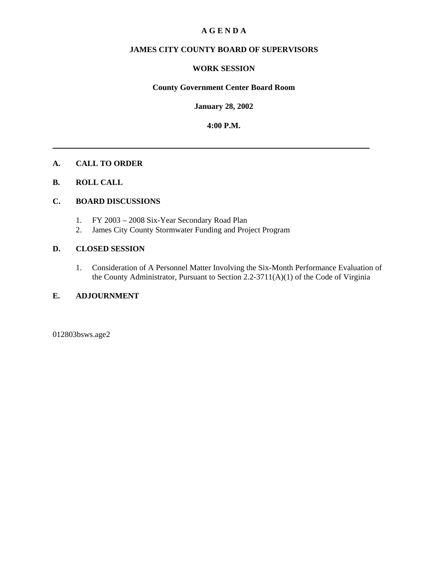### **A G E N D A**

### **JAMES CITY COUNTY BOARD OF SUPERVISORS**

### **WORK SESSION**

#### **County Government Center Board Room**

**January 28, 2002**

**4:00 P.M.**

#### **A. CALL TO ORDER**

### **B. ROLL CALL**

### **C. BOARD DISCUSSIONS**

- 1. FY 2003 2008 Six-Year Secondary Road Plan
- 2. James City County Stormwater Funding and Project Program

### **D. CLOSED SESSION**

1. Consideration of A Personnel Matter Involving the Six-Month Performance Evaluation of the County Administrator, Pursuant to Section 2.2-3711(A)(1) of the Code of Virginia

#### **E. ADJOURNMENT**

012803bsws.age2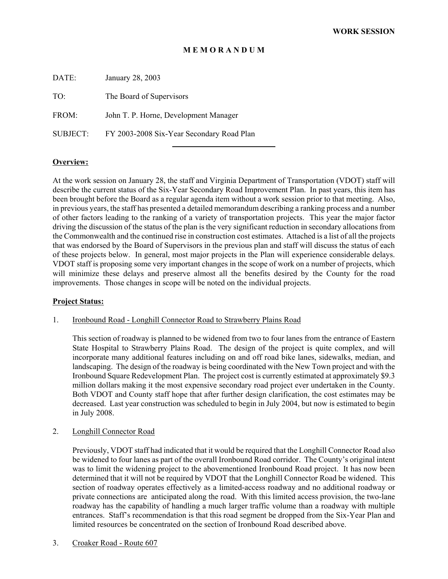### **M E M O R A N D U M**

DATE: January 28, 2003

TO: The Board of Supervisors

FROM: John T. P. Horne, Development Manager

SUBJECT: FY 2003-2008 Six-Year Secondary Road Plan

l

### **Overview:**

At the work session on January 28, the staff and Virginia Department of Transportation (VDOT) staff will describe the current status of the Six-Year Secondary Road Improvement Plan. In past years, this item has been brought before the Board as a regular agenda item without a work session prior to that meeting. Also, in previous years, the staff has presented a detailed memorandum describing a ranking process and a number of other factors leading to the ranking of a variety of transportation projects. This year the major factor driving the discussion of the status of the plan is the very significant reduction in secondary allocations from the Commonwealth and the continued rise in construction cost estimates. Attached is a list of all the projects that was endorsed by the Board of Supervisors in the previous plan and staff will discuss the status of each of these projects below. In general, most major projects in the Plan will experience considerable delays. VDOT staff is proposing some very important changes in the scope of work on a number of projects, which will minimize these delays and preserve almost all the benefits desired by the County for the road improvements. Those changes in scope will be noted on the individual projects.

### **Project Status:**

#### 1. Ironbound Road - Longhill Connector Road to Strawberry Plains Road

This section of roadway is planned to be widened from two to four lanes from the entrance of Eastern State Hospital to Strawberry Plains Road. The design of the project is quite complex, and will incorporate many additional features including on and off road bike lanes, sidewalks, median, and landscaping. The design of the roadway is being coordinated with the New Town project and with the Ironbound Square Redevelopment Plan. The project cost is currently estimated at approximately \$9.3 million dollars making it the most expensive secondary road project ever undertaken in the County. Both VDOT and County staff hope that after further design clarification, the cost estimates may be decreased. Last year construction was scheduled to begin in July 2004, but now is estimated to begin in July 2008.

#### 2. Longhill Connector Road

Previously, VDOT staff had indicated that it would be required that the Longhill Connector Road also be widened to four lanes as part of the overall Ironbound Road corridor. The County's original intent was to limit the widening project to the abovementioned Ironbound Road project. It has now been determined that it will not be required by VDOT that the Longhill Connector Road be widened. This section of roadway operates effectively as a limited-access roadway and no additional roadway or private connections are anticipated along the road. With this limited access provision, the two-lane roadway has the capability of handling a much larger traffic volume than a roadway with multiple entrances. Staff's recommendation is that this road segment be dropped from the Six-Year Plan and limited resources be concentrated on the section of Ironbound Road described above.

### 3. Croaker Road - Route 607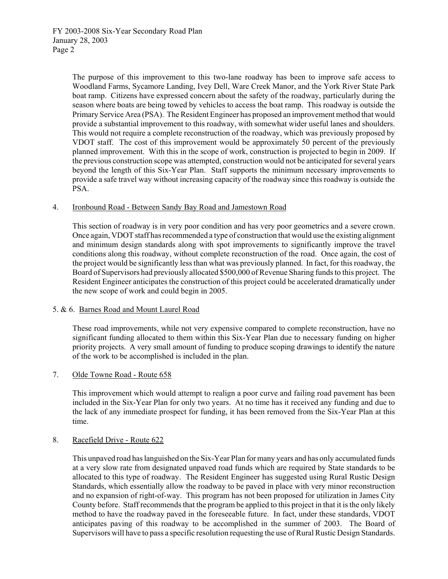The purpose of this improvement to this two-lane roadway has been to improve safe access to Woodland Farms, Sycamore Landing, Ivey Dell, Ware Creek Manor, and the York River State Park boat ramp. Citizens have expressed concern about the safety of the roadway, particularly during the season where boats are being towed by vehicles to access the boat ramp. This roadway is outside the Primary Service Area (PSA). The Resident Engineer has proposed an improvement method that would provide a substantial improvement to this roadway, with somewhat wider useful lanes and shoulders. This would not require a complete reconstruction of the roadway, which was previously proposed by VDOT staff. The cost of this improvement would be approximately 50 percent of the previously planned improvement. With this in the scope of work, construction is projected to begin in 2009. If the previous construction scope was attempted, construction would not be anticipated for several years beyond the length of this Six-Year Plan. Staff supports the minimum necessary improvements to provide a safe travel way without increasing capacity of the roadway since this roadway is outside the PSA.

### 4. Ironbound Road - Between Sandy Bay Road and Jamestown Road

This section of roadway is in very poor condition and has very poor geometrics and a severe crown. Once again, VDOT staff has recommended a type of construction that would use the existing alignment and minimum design standards along with spot improvements to significantly improve the travel conditions along this roadway, without complete reconstruction of the road. Once again, the cost of the project would be significantly less than what was previously planned. In fact, for this roadway, the Board of Supervisors had previously allocated \$500,000 of Revenue Sharing funds to this project. The Resident Engineer anticipates the construction of this project could be accelerated dramatically under the new scope of work and could begin in 2005.

### 5. & 6. Barnes Road and Mount Laurel Road

These road improvements, while not very expensive compared to complete reconstruction, have no significant funding allocated to them within this Six-Year Plan due to necessary funding on higher priority projects. A very small amount of funding to produce scoping drawings to identify the nature of the work to be accomplished is included in the plan.

### 7. Olde Towne Road - Route 658

This improvement which would attempt to realign a poor curve and failing road pavement has been included in the Six-Year Plan for only two years. At no time has it received any funding and due to the lack of any immediate prospect for funding, it has been removed from the Six-Year Plan at this time.

### 8. Racefield Drive - Route 622

This unpaved road has languished on the Six-Year Plan for many years and has only accumulated funds at a very slow rate from designated unpaved road funds which are required by State standards to be allocated to this type of roadway. The Resident Engineer has suggested using Rural Rustic Design Standards, which essentially allow the roadway to be paved in place with very minor reconstruction and no expansion of right-of-way. This program has not been proposed for utilization in James City County before. Staff recommends that the program be applied to this project in that it is the only likely method to have the roadway paved in the foreseeable future. In fact, under these standards, VDOT anticipates paving of this roadway to be accomplished in the summer of 2003. The Board of Supervisors will have to pass a specific resolution requesting the use of Rural Rustic Design Standards.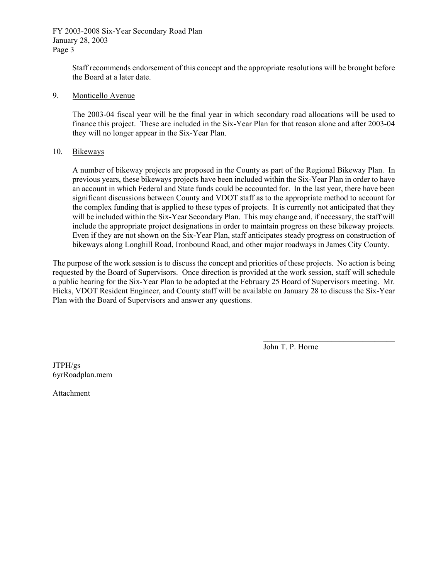FY 2003-2008 Six-Year Secondary Road Plan January 28, 2003 Page 3

> Staff recommends endorsement of this concept and the appropriate resolutions will be brought before the Board at a later date.

### 9. Monticello Avenue

The 2003-04 fiscal year will be the final year in which secondary road allocations will be used to finance this project. These are included in the Six-Year Plan for that reason alone and after 2003-04 they will no longer appear in the Six-Year Plan.

### 10. Bikeways

A number of bikeway projects are proposed in the County as part of the Regional Bikeway Plan. In previous years, these bikeways projects have been included within the Six-Year Plan in order to have an account in which Federal and State funds could be accounted for. In the last year, there have been significant discussions between County and VDOT staff as to the appropriate method to account for the complex funding that is applied to these types of projects. It is currently not anticipated that they will be included within the Six-Year Secondary Plan. This may change and, if necessary, the staff will include the appropriate project designations in order to maintain progress on these bikeway projects. Even if they are not shown on the Six-Year Plan, staff anticipates steady progress on construction of bikeways along Longhill Road, Ironbound Road, and other major roadways in James City County.

The purpose of the work session is to discuss the concept and priorities of these projects. No action is being requested by the Board of Supervisors. Once direction is provided at the work session, staff will schedule a public hearing for the Six-Year Plan to be adopted at the February 25 Board of Supervisors meeting. Mr. Hicks, VDOT Resident Engineer, and County staff will be available on January 28 to discuss the Six-Year Plan with the Board of Supervisors and answer any questions.

John T. P. Horne

 $\mathcal{L}_\text{max}$ 

JTPH/gs 6yrRoadplan.mem

Attachment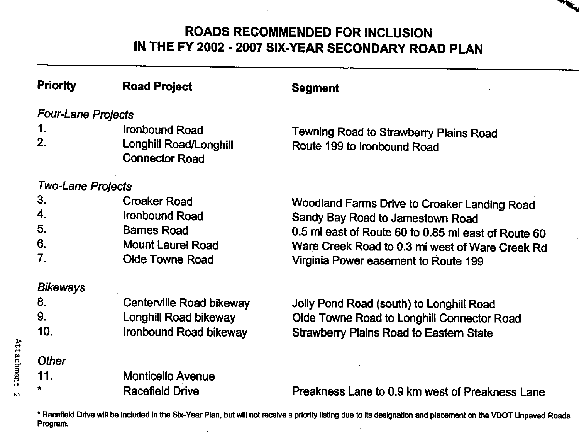### **ROADS RECOMMENDED FOR INCLUSION** IN THE FY 2002 - 2007 SIX-YEAR SECONDARY ROAD PLAN

| <b>Priority</b>           | <b>Road Project</b>                             | <b>Segment</b>                                      |  |  |  |
|---------------------------|-------------------------------------------------|-----------------------------------------------------|--|--|--|
| <b>Four-Lane Projects</b> |                                                 |                                                     |  |  |  |
| 1.                        | <b>Ironbound Road</b>                           | Tewning Road to Strawberry Plains Road              |  |  |  |
| 2.                        | Longhill Road/Longhill<br><b>Connector Road</b> | Route 199 to Ironbound Road                         |  |  |  |
| <b>Two-Lane Projects</b>  |                                                 |                                                     |  |  |  |
| 3.                        | <b>Croaker Road</b>                             | Woodland Farms Drive to Croaker Landing Road        |  |  |  |
| 4.                        | Ironbound Road                                  | Sandy Bay Road to Jamestown Road                    |  |  |  |
| 5.                        | <b>Barnes Road</b>                              | 0.5 mi east of Route 60 to 0.85 mi east of Route 60 |  |  |  |
| 6.                        | <b>Mount Laurel Road</b>                        | Ware Creek Road to 0.3 mi west of Ware Creek Rd     |  |  |  |
| 7.                        | <b>Olde Towne Road</b>                          | Virginia Power easement to Route 199                |  |  |  |
| <b>Bikeways</b>           |                                                 |                                                     |  |  |  |
| 8.                        | Centerville Road bikeway                        | Jolly Pond Road (south) to Longhill Road            |  |  |  |
| 9.                        | Longhill Road bikeway                           | Olde Towne Road to Longhill Connector Road          |  |  |  |
| 10.                       | Ironbound Road bikeway                          | <b>Strawberry Plains Road to Eastern State</b>      |  |  |  |
| <b>Other</b>              |                                                 |                                                     |  |  |  |
| 11.                       | <b>Monticello Avenue</b>                        |                                                     |  |  |  |
|                           | <b>Racefield Drive</b>                          | Preakness Lane to 0.9 km west of Preakness Lane     |  |  |  |
|                           |                                                 |                                                     |  |  |  |

\* Racefield Drive will be included in the Six-Year Plan, but will not receive a priority listing due to its designation and placement on the VDOT Unpaved Roads Program.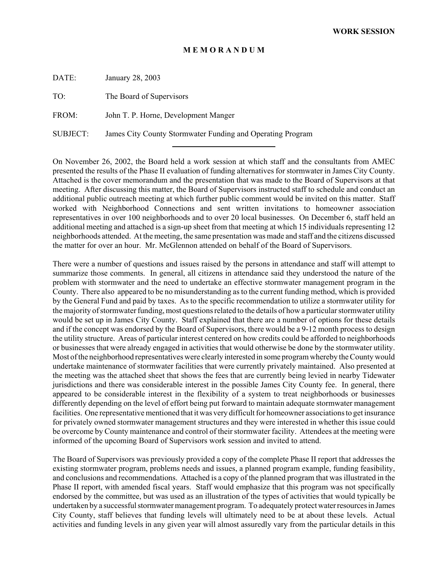### **M E M O R A N D U M**

DATE: January 28, 2003

TO: The Board of Supervisors

FROM: John T. P. Horne, Development Manger

SUBJECT: James City County Stormwater Funding and Operating Program

l

On November 26, 2002, the Board held a work session at which staff and the consultants from AMEC presented the results of the Phase II evaluation of funding alternatives for stormwater in James City County. Attached is the cover memorandum and the presentation that was made to the Board of Supervisors at that meeting. After discussing this matter, the Board of Supervisors instructed staff to schedule and conduct an additional public outreach meeting at which further public comment would be invited on this matter. Staff worked with Neighborhood Connections and sent written invitations to homeowner association representatives in over 100 neighborhoods and to over 20 local businesses. On December 6, staff held an additional meeting and attached is a sign-up sheet from that meeting at which 15 individuals representing 12 neighborhoods attended. At the meeting, the same presentation was made and staff and the citizens discussed the matter for over an hour. Mr. McGlennon attended on behalf of the Board of Supervisors.

There were a number of questions and issues raised by the persons in attendance and staff will attempt to summarize those comments. In general, all citizens in attendance said they understood the nature of the problem with stormwater and the need to undertake an effective stormwater management program in the County. There also appeared to be no misunderstanding as to the current funding method, which is provided by the General Fund and paid by taxes. As to the specific recommendation to utilize a stormwater utility for the majority of stormwater funding, most questions related to the details of how a particular stormwater utility would be set up in James City County. Staff explained that there are a number of options for these details and if the concept was endorsed by the Board of Supervisors, there would be a 9-12 month process to design the utility structure. Areas of particular interest centered on how credits could be afforded to neighborhoods or businesses that were already engaged in activities that would otherwise be done by the stormwater utility. Most of the neighborhood representatives were clearly interested in some program whereby the County would undertake maintenance of stormwater facilities that were currently privately maintained. Also presented at the meeting was the attached sheet that shows the fees that are currently being levied in nearby Tidewater jurisdictions and there was considerable interest in the possible James City County fee. In general, there appeared to be considerable interest in the flexibility of a system to treat neighborhoods or businesses differently depending on the level of effort being put forward to maintain adequate stormwater management facilities. One representative mentioned that it was very difficult for homeowner associations to get insurance for privately owned stormwater management structures and they were interested in whether this issue could be overcome by County maintenance and control of their stormwater facility. Attendees at the meeting were informed of the upcoming Board of Supervisors work session and invited to attend.

The Board of Supervisors was previously provided a copy of the complete Phase II report that addresses the existing stormwater program, problems needs and issues, a planned program example, funding feasibility, and conclusions and recommendations. Attached is a copy of the planned program that was illustrated in the Phase II report, with amended fiscal years. Staff would emphasize that this program was not specifically endorsed by the committee, but was used as an illustration of the types of activities that would typically be undertaken by a successful stormwater management program. To adequately protect water resources in James City County, staff believes that funding levels will ultimately need to be at about these levels. Actual activities and funding levels in any given year will almost assuredly vary from the particular details in this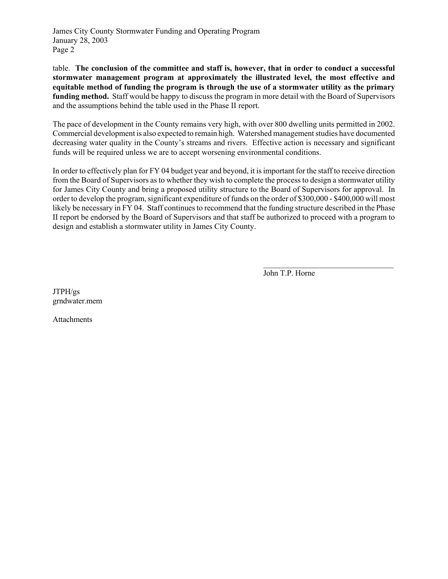James City County Stormwater Funding and Operating Program January 28, 2003 Page 2

table. **The conclusion of the committee and staff is, however, that in order to conduct a successful stormwater management program at approximately the illustrated level, the most effective and equitable method of funding the program is through the use of a stormwater utility as the primary funding method.** Staff would be happy to discuss the program in more detail with the Board of Supervisors and the assumptions behind the table used in the Phase II report.

The pace of development in the County remains very high, with over 800 dwelling units permitted in 2002. Commercial development is also expected to remain high. Watershed management studies have documented decreasing water quality in the County's streams and rivers. Effective action is necessary and significant funds will be required unless we are to accept worsening environmental conditions.

In order to effectively plan for FY 04 budget year and beyond, it is important for the staff to receive direction from the Board of Supervisors as to whether they wish to complete the process to design a stormwater utility for James City County and bring a proposed utility structure to the Board of Supervisors for approval. In order to develop the program, significant expenditure of funds on the order of \$300,000 - \$400,000 will most likely be necessary in FY 04. Staff continues to recommend that the funding structure described in the Phase II report be endorsed by the Board of Supervisors and that staff be authorized to proceed with a program to design and establish a stormwater utility in James City County.

John T.P. Horne

 $\mathcal{L}_\text{max}$ 

JTPH/gs grndwater.mem

Attachments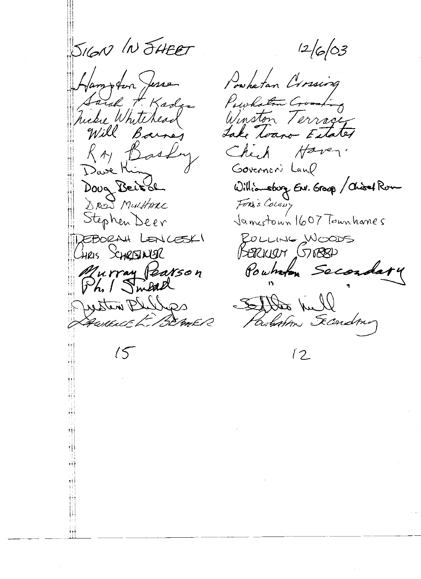SIGN IN SHEET Hampton Jesse Lard H. Kadge hicke Whitehead Will Barney RAY Basky Dave Kin Doug Beit de DREW MULHARC Stephen Deer REBORAH LENCESKI HRIS SCHREINER Murray Pearson<br>Ph. Smead Dutten Blilla AWRENT E. BEAMER  $15$ 

 $12/6/03$ 

Powhatan Crossing Powhaten Crossing Winston Terrage Lake Toano Estates Chip Haven. Governors Land Williamsburg ENV. Group / Chisel Rom Fors's Colony Jamestown 1607 Townhames POLLING WOODS BERKLEN (57888) Pownton Secondary Settled Will

Parlistin Secondon

 $\sqrt{2}$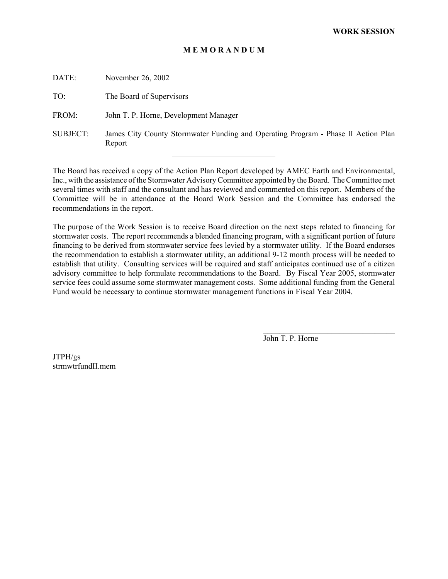### **M E M O R A N D U M**

| DATE:           | November 26, 2002                                                                           |
|-----------------|---------------------------------------------------------------------------------------------|
| TO:             | The Board of Supervisors                                                                    |
| FROM:           | John T. P. Horne, Development Manager                                                       |
| <b>SUBJECT:</b> | James City County Stormwater Funding and Operating Program - Phase II Action Plan<br>Report |
|                 |                                                                                             |

The Board has received a copy of the Action Plan Report developed by AMEC Earth and Environmental, Inc., with the assistance of the Stormwater Advisory Committee appointed by the Board. The Committee met several times with staff and the consultant and has reviewed and commented on this report. Members of the Committee will be in attendance at the Board Work Session and the Committee has endorsed the recommendations in the report.

The purpose of the Work Session is to receive Board direction on the next steps related to financing for stormwater costs. The report recommends a blended financing program, with a significant portion of future financing to be derived from stormwater service fees levied by a stormwater utility. If the Board endorses the recommendation to establish a stormwater utility, an additional 9-12 month process will be needed to establish that utility. Consulting services will be required and staff anticipates continued use of a citizen advisory committee to help formulate recommendations to the Board. By Fiscal Year 2005, stormwater service fees could assume some stormwater management costs. Some additional funding from the General Fund would be necessary to continue stormwater management functions in Fiscal Year 2004.

John T. P. Horne

 $\mathcal{L}_\text{max}$ 

JTPH/gs strmwtrfundII.mem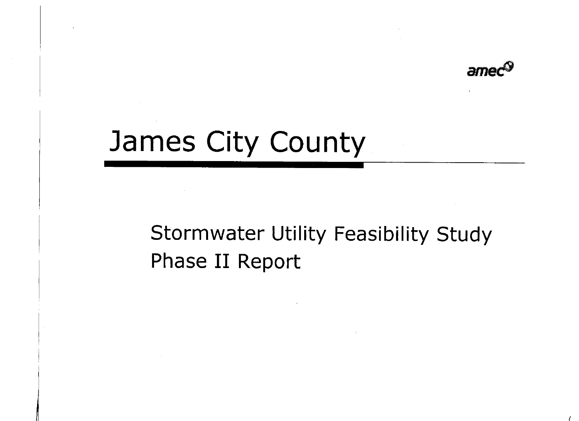

# James City County

### **Stormwater Utility Feasibility Study** Phase II Report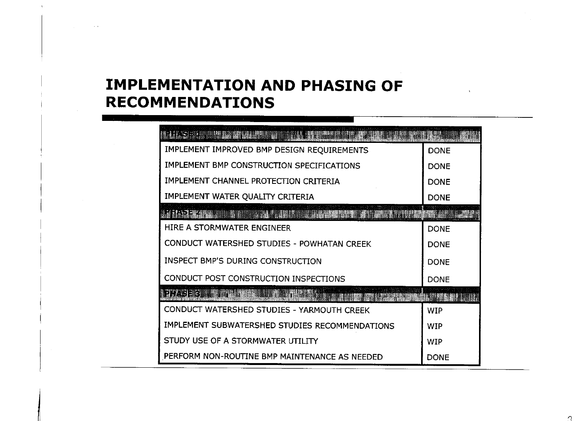### **IMPLEMENTATION AND PHASING OF RECOMMENDATIONS**

| ING SECTION CONTRACTOR COMPANY                                                                                       |             |
|----------------------------------------------------------------------------------------------------------------------|-------------|
| IMPLEMENT IMPROVED BMP DESIGN REQUIREMENTS                                                                           | <b>DONE</b> |
| IMPLEMENT BMP CONSTRUCTION SPECIFICATIONS                                                                            | <b>DONE</b> |
| IMPLEMENT CHANNEL PROTECTION CRITERIA                                                                                | <b>DONE</b> |
| IMPLEMENT WATER QUALITY CRITERIA                                                                                     | <b>DONE</b> |
| <u>S RASSER AND AN DESCRIPTION OF A CONSTRUCTION OF A STARBOARD CONTROL OF A STATE OF A STATE OF A STATE OF A ST</u> |             |
| HIRE A STORMWATER ENGINEER                                                                                           | <b>DONE</b> |
| CONDUCT WATERSHED STUDIES - POWHATAN CREEK                                                                           | <b>DONE</b> |
| <b>INSPECT BMP'S DURING CONSTRUCTION</b>                                                                             | <b>DONE</b> |
| CONDUCT POST CONSTRUCTION INSPECTIONS                                                                                | <b>DONE</b> |
| 2 AS 3 C . A DESTRUCTION CONTRACTOR                                                                                  |             |
| CONDUCT WATERSHED STUDIES - YARMOUTH CREEK                                                                           | <b>WIP</b>  |
| IMPLEMENT SUBWATERSHED STUDIES RECOMMENDATIONS                                                                       | <b>WIP</b>  |
| STUDY USE OF A STORMWATER UTILITY                                                                                    | <b>WIP</b>  |
| PERFORM NON-ROUTINE BMP MAINTENANCE AS NEEDED                                                                        | <b>DONE</b> |

 $\cdot$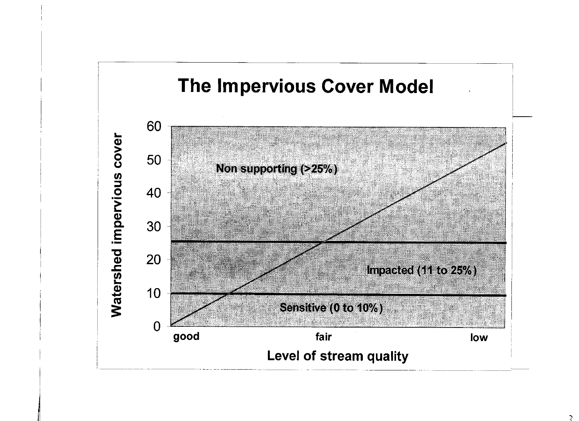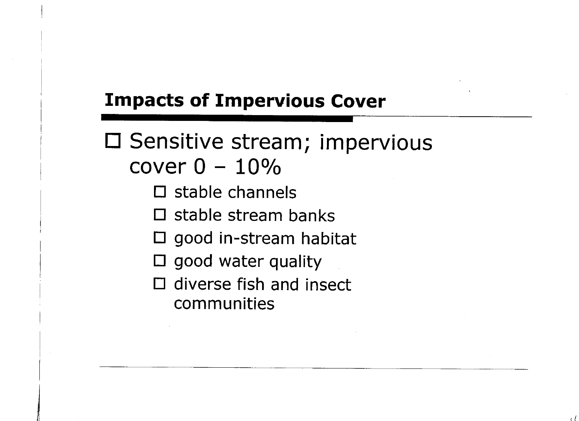### **Impacts of Impervious Cover**

□ Sensitive stream; impervious cover  $0 - 10\%$ 

- $\square$  stable channels
- $\square$  stable stream banks
- $\square$  good in-stream habitat
- $\square$  good water quality
- $\Box$  diverse fish and insect communities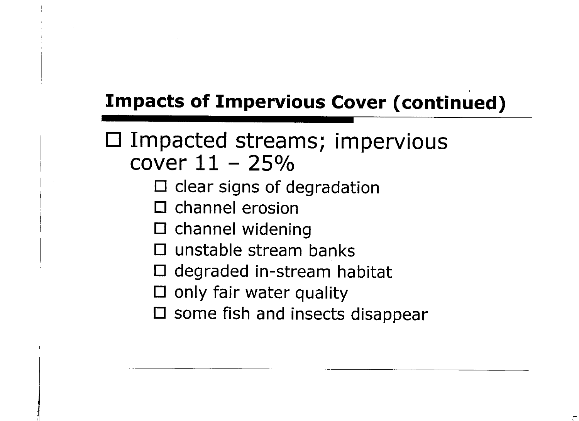### **Impacts of Impervious Cover (continued)**

### □ Impacted streams; impervious cover  $11 - 25%$

- $\square$  clear signs of degradation
- $\square$  channel erosion
- $\square$  channel widening
- $\Box$  unstable stream banks
- $\Box$  degraded in-stream habitat
- $\square$  only fair water quality
- $\square$  some fish and insects disappear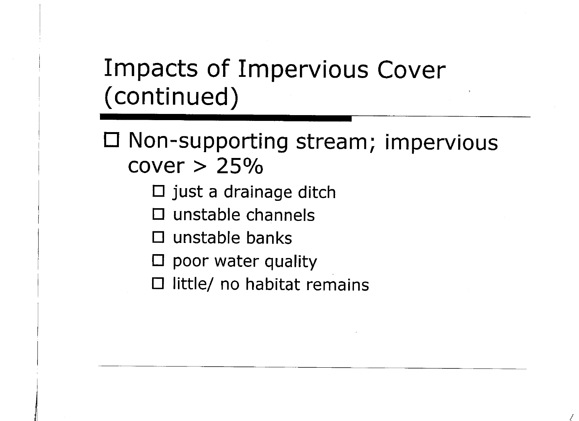### **Impacts of Impervious Cover** (continued)

□ Non-supporting stream; impervious  $cover > 25\%$ 

- $\square$  just a drainage ditch
- $\square$  unstable channels
- $\Box$  unstable banks
- $\square$  poor water quality
- $\Box$  little/ no habitat remains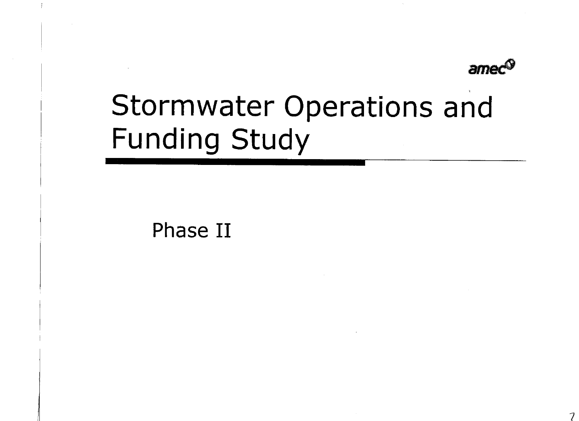

# Stormwater Operations and **Funding Study**

Phase II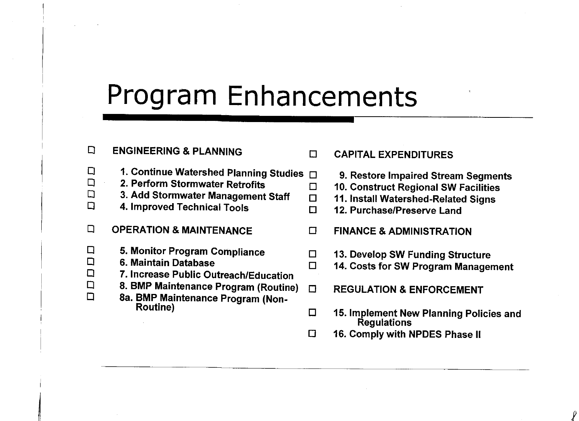## Program Enhancements

 $\Box$ 

 $\Box$ 

 $\Box$ 

#### $\Box$ **ENGINEERING & PLANNING**

- $\Box$ 1. Continue Watershed Planning Studies  $\Box$
- $\Box$ 2. Perform Stormwater Retrofits
- $\Box$ 3. Add Stormwater Management Staff
- $\Box$ 4. Improved Technical Tools
- $\Box$ **OPERATION & MAINTENANCE**
- 5. Monitor Program Compliance  $\Box$  $\Box$ 
	- 6. Maintain Database

 $\Box$ 

- $\Box$ 7. Increase Public Outreach/Education  $\Box$ 
	- 8. BMP Maintenance Program (Routine)
		- 8a. BMP Maintenance Program (Non-**Routine**)

#### $\Box$ **CAPITAL EXPENDITURES**

- 9. Restore Impaired Stream Segments
- 10. Construct Regional SW Facilities
- 11. Install Watershed-Related Signs
- 12. Purchase/Preserve Land  $\Box$
- $\Box$ **FINANCE & ADMINISTRATION**
- $\Box$ 13. Develop SW Funding Structure
- $\Box$ 14. Costs for SW Program Management
	- **REGULATION & ENFORCEMENT**
- 15. Implement New Planning Policies and  $\Box$ Regulations
- $\Box$ 16. Comply with NPDES Phase II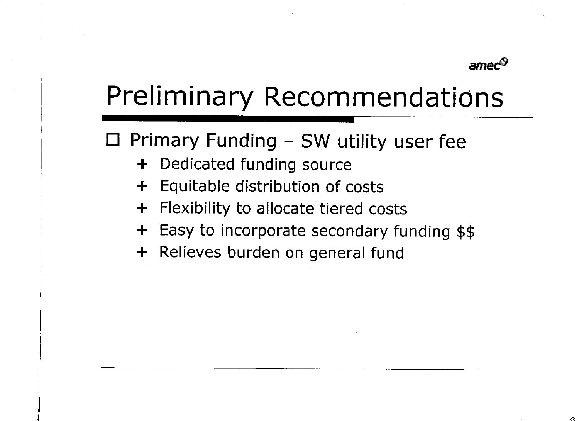

## **Preliminary Recommendations**

 $\Box$  Primary Funding – SW utility user fee

- + Dedicated funding source
- Equitable distribution of costs ╋
- Flexibility to allocate tiered costs  $\pm$
- + Easy to incorporate secondary funding \$\$
- + Relieves burden on general fund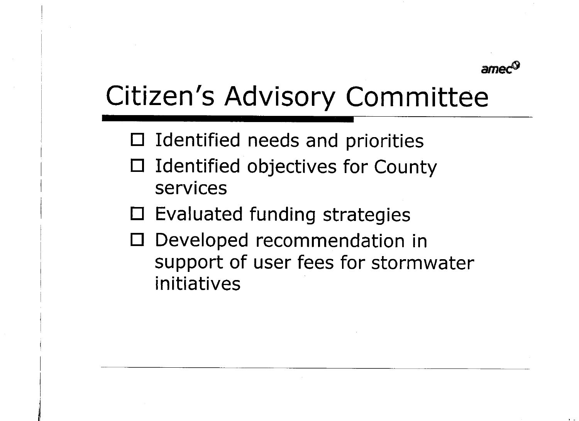

## Citizen's Advisory Committee

- $\Box$  Identified needs and priorities
- Identified objectives for County  $\Box$ services
- $\square$  Evaluated funding strategies
- Developed recommendation in Ш support of user fees for stormwater initiatives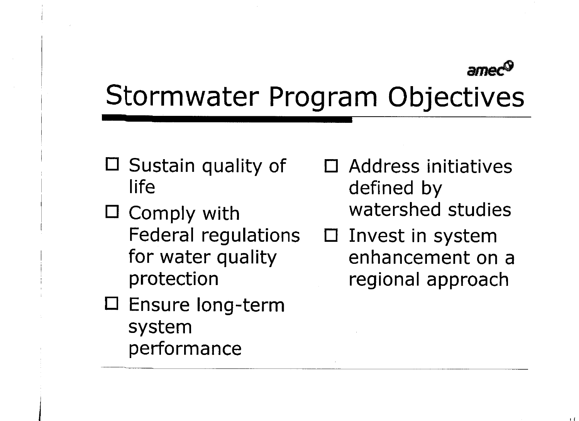## Stormwater Program Objectives

- $\Box$  Sustain quality of life
- $\Box$  Comply with Federal regulations for water quality protection
- $\square$  Ensure long-term system performance
- Address initiatives  $\Box$ defined by watershed studies
- $\Box$  Invest in system enhancement on a regional approach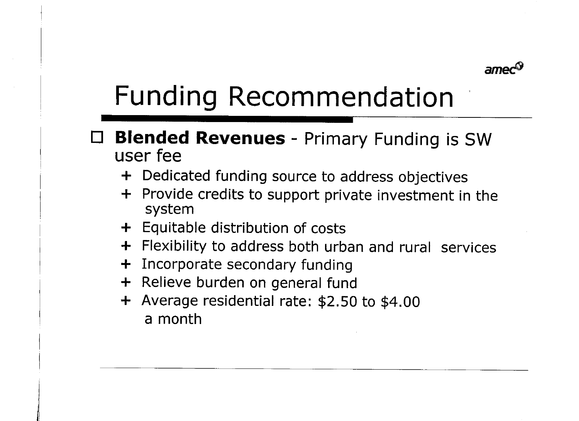

# **Funding Recommendation**

### **Blended Revenues** - Primary Funding is SW user fee

- + Dedicated funding source to address objectives
- + Provide credits to support private investment in the system
- + Equitable distribution of costs
- + Flexibility to address both urban and rural services
- Incorporate secondary funding  $\div$
- + Relieve burden on general fund
- + Average residential rate: \$2.50 to \$4.00 a month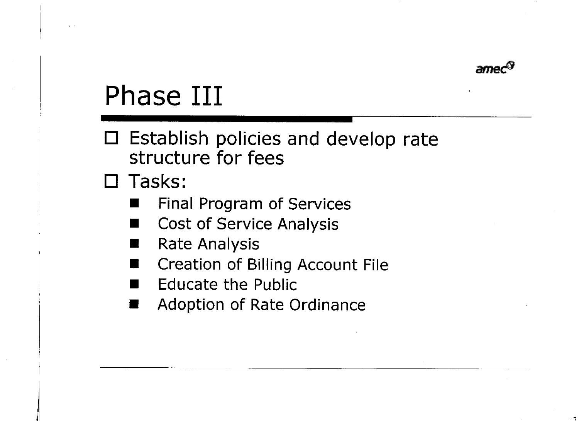

# Phase III

□ Establish policies and develop rate structure for fees

 $\square$  Tasks:

- Final Program of Services
- **Cost of Service Analysis** ٠
- **Rate Analysis**
- Creation of Billing Account File
- **Educate the Public**
- Adoption of Rate Ordinance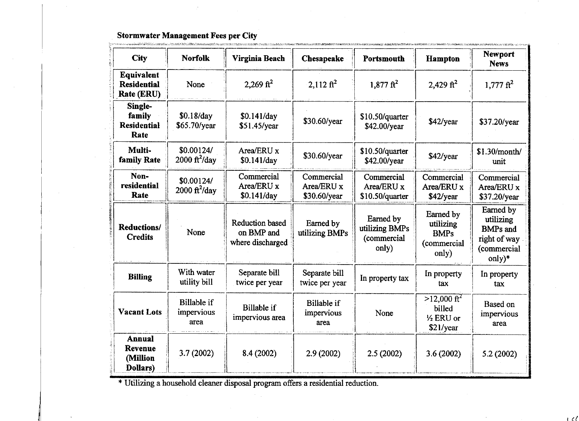### Stormwater Management Fees per City

 $\hat{L}_{\rm{max}}$ 

|                                                  | <u>. Princess and the community of the problem in the consideration of the constant of the constant of the constant of the constant of the constant of the constant of the constant of the constant of the constant of the const</u> |                                                          |                                          |                                                     |                                                               |                                                                                      |
|--------------------------------------------------|--------------------------------------------------------------------------------------------------------------------------------------------------------------------------------------------------------------------------------------|----------------------------------------------------------|------------------------------------------|-----------------------------------------------------|---------------------------------------------------------------|--------------------------------------------------------------------------------------|
| <b>City</b>                                      | <b>Norfolk</b>                                                                                                                                                                                                                       | Virginia Beach                                           | Chesapeake                               | Portsmouth                                          | <b>Hampton</b>                                                | <b>Newport</b><br><b>News</b>                                                        |
| Equivalent<br><b>Residential</b><br>Rate (ERU)   | None                                                                                                                                                                                                                                 | 2,269 $ft^2$                                             | $2.112 \text{ ft}^2$                     | $1,877 \text{ ft}^2$                                | 2,429 $ft^2$                                                  | $1,777 \text{ ft}^2$                                                                 |
| Single-<br>family<br><b>Residential</b><br>Rate  | \$0.18/day<br>$$65.70$ /year                                                                                                                                                                                                         | \$0.141/day<br>\$51.45/year                              | \$30.60/year                             | \$10.50/quarter<br>\$42.00/year                     | \$42/year                                                     | \$37.20/year                                                                         |
| Multi-<br>family Rate                            | \$0.00124/<br>$2000 \text{ ft}^2/\text{day}$                                                                                                                                                                                         | Area/ERU x<br>\$0.141/day                                | \$30.60/year                             | $$10.50$ /quarter<br>\$42.00/year                   | \$42/year                                                     | \$1.30/month/<br>unit                                                                |
| Non-<br>residential<br>Rate                      | \$0.00124/<br>$2000 \frac{\text{ft}^2}{\text{day}}$                                                                                                                                                                                  | Commercial<br>Area/ERU x<br>\$0.141/day                  | Commercial<br>Area/ERU x<br>\$30.60/year | Commercial<br>Area/ERU x<br>\$10.50/quarter         | Commercial<br>Area/ERU x<br>$$42$ /year                       | Commercial<br>Area/ERU x<br>\$37.20/year                                             |
| <b>Reductions/</b><br><b>Credits</b>             | None                                                                                                                                                                                                                                 | <b>Reduction based</b><br>on BMP and<br>where discharged | Earned by<br>utilizing BMPs              | Earned by<br>utilizing BMPs<br>(commercial<br>only) | Earned by<br>utilizing<br><b>BMPs</b><br>(commercial<br>only) | Earned by<br>utilizing<br><b>BMPs</b> and<br>right of way<br>(commercial<br>$only)*$ |
| <b>Billing</b>                                   | With water<br>utility bill                                                                                                                                                                                                           | Separate bill<br>twice per year                          | Separate bill<br>twice per year          | In property tax                                     | In property<br>tax                                            | In property<br>tax                                                                   |
| <b>Vacant Lots</b>                               | <b>Billable if</b><br>impervious<br>area                                                                                                                                                                                             | <b>Billable</b> if<br>impervious area                    | <b>Billable if</b><br>impervious<br>area | None                                                | $>12,000 \text{ ft}^2$<br>billed<br>1/2 ERU or<br>\$21/year   | Based on<br>impervious<br>area                                                       |
| <b>Annual</b><br>Revenue<br>(Million<br>Dollars) | 3.7(2002)                                                                                                                                                                                                                            | 8.4 (2002)                                               | 2.9(2002)                                | 2.5(2002)                                           | 3.6(2002)                                                     | 5.2(2002)                                                                            |

 $\pm$   $\ell$   $\ell$ 

\* Utilizing a household cleaner disposal program offers a residential reduction.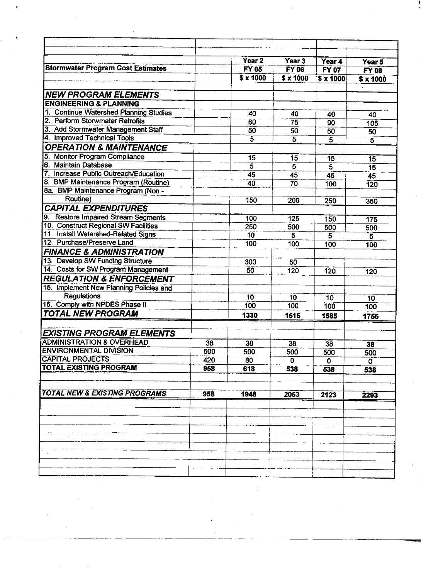|                                                      |     | Year <sub>2</sub> | Year 3                           | Year 4          | Year 5               |
|------------------------------------------------------|-----|-------------------|----------------------------------|-----------------|----------------------|
| <b>Stormwater Program Cost Estimates</b>             |     | <b>FY 05</b>      | <b>FY 06</b>                     | <b>FY 07</b>    | <b>FY 08</b>         |
|                                                      |     | $$ \times 1000$   | $\sqrt{\frac{2}{3}} \times 1000$ | $$ \times 1000$ | $$ \times 1000$      |
| <b>NEW PROGRAM ELEMENTS</b>                          |     |                   |                                  |                 |                      |
| <b>ENGINEERING &amp; PLANNING</b>                    |     |                   |                                  |                 |                      |
| 1. Continue Watershed Planning Studies               |     | 40                |                                  |                 |                      |
| 2. Perform Storwmater Retrofits                      |     | 60                | 40<br>75                         | 40              | 40                   |
| 3. Add Stormwater Management Staff                   |     | 50                | 50                               | 90<br>50        | 105                  |
| 4. Improved Technical Tools                          |     | $\overline{5}$    | 5                                | 5               | 50<br>$\overline{5}$ |
| <b>OPERATION &amp; MAINTENANCE</b>                   |     |                   |                                  |                 |                      |
| <b>Monitor Program Compliance</b><br>5.              |     | 15                | 15                               | 15              | 15                   |
| 6. Maintain Database                                 |     | 5                 | $\overline{5}$                   | 5               | 15                   |
| Increase Public Outreach/Education<br>$\overline{7}$ |     | 45                | 45                               | 45              | 45                   |
| 8. BMP Maintenance Program (Routine)                 |     | 40                | 70                               | 100             | 120                  |
| 8a. BMP Maintenance Program (Non -                   |     |                   |                                  |                 |                      |
| Routine)                                             |     | 150               | 200                              | 250             | 350                  |
| <b>CAPITAL EXPENDITURES</b>                          |     |                   |                                  |                 |                      |
| <b>Restore Impaired Stream Segments</b><br>9.        |     | $\overline{100}$  | 125                              | 150             | 175                  |
| 10. Construct Regional SW Facilities                 |     | 250               | 500                              | 500             | 500                  |
| 11. Install Watershed-Related Signs                  |     | 10                | 5                                | 5               | $\overline{5}$       |
| 12. Purchase/Preserve Land                           |     | $\overline{100}$  | 100                              | 100             | 100                  |
| <b>FINANCE &amp; ADMINISTRATION</b>                  |     |                   |                                  |                 |                      |
| 13. Develop SW Funding Structure                     |     | 300               | 50                               |                 |                      |
| 14. Costs for SW Program Management                  |     | 50                | 120                              | 120             | 120                  |
| <b>REGULATION &amp; ENFORCEMENT</b>                  |     |                   |                                  |                 |                      |
| 15. Implement New Planning Policies and              |     |                   |                                  |                 |                      |
| Regulations                                          |     | 10                | 10                               | 10              | 10                   |
| 16. Comply with NPDES Phase II                       |     | 100               | 100                              | 100             | 100                  |
| <b>TOTAL NEW PROGRAM</b>                             |     | 1330              | 1515                             | 1585            | 1755                 |
|                                                      |     |                   |                                  |                 |                      |
| <b>EXISTING PROGRAM ELEMENTS</b>                     |     |                   |                                  |                 |                      |
| <b>ADMINISTRATION &amp; OVERHEAD</b>                 | 38  | 38                | 38                               | 38              | 38                   |
| <b>ENVIRONMENTAL DIVISION</b>                        | 500 | 500               | 500                              | 500             | 500                  |
| <b>CAPITAL PROJECTS</b>                              | 420 | 80                | 0                                | $\mathbf 0$     | 0                    |
| <b>TOTAL EXISTING PROGRAM</b>                        | 958 | 618               | 538                              | 538             | 538                  |
|                                                      |     |                   |                                  |                 |                      |
| <b>TOTAL NEW &amp; EXISTING PROGRAMS</b>             | 958 | 1948              | 2053                             | 2123            | 2293                 |
|                                                      |     |                   |                                  |                 |                      |
|                                                      |     |                   |                                  |                 |                      |
|                                                      |     |                   |                                  |                 |                      |
|                                                      |     |                   |                                  |                 |                      |
|                                                      |     |                   |                                  |                 |                      |
|                                                      |     |                   |                                  |                 |                      |
|                                                      |     |                   |                                  |                 |                      |
|                                                      |     |                   |                                  |                 |                      |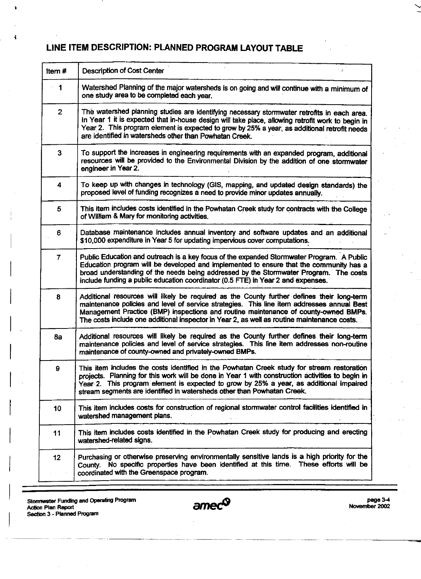### LINE ITEM DESCRIPTION: PLANNED PROGRAM LAYOUT TABLE

| Item#          | <b>Description of Cost Center</b>                                                                                                                                                                                                                                                                                                                                              |
|----------------|--------------------------------------------------------------------------------------------------------------------------------------------------------------------------------------------------------------------------------------------------------------------------------------------------------------------------------------------------------------------------------|
| $\geq 1$       | Watershed Planning of the major watersheds is on going and will continue with a minimum of<br>one study area to be completed each year.                                                                                                                                                                                                                                        |
| $\overline{2}$ | The watershed planning studies are identifying necessary stormwater retrofits in each area.<br>In Year 1 it is expected that in-house design will take place, allowing retrofit work to begin in<br>Year 2. This program element is expected to grow by 25% a year, as additional retrofit needs<br>are identified in watersheds other than Powhatan Creek.                    |
| 3              | To support the increases in engineering requirements with an expanded program, additional<br>resources will be provided to the Environmental Division by the addition of one stormwater<br>engineer in Year 2.                                                                                                                                                                 |
| 4              | To keep up with changes in technology (GIS, mapping, and updated design standards) the<br>proposed level of funding recognizes a need to provide minor updates annually.                                                                                                                                                                                                       |
| 5              | This item includes costs identified in the Powhatan Creek study for contracts with the College<br>of William & Mary for monitoring activities.                                                                                                                                                                                                                                 |
| 6              | Database maintenance includes annual inventory and software updates and an additional<br>\$10,000 expenditure in Year 5 for updating impervious cover computations.                                                                                                                                                                                                            |
| $\overline{7}$ | Public Education and outreach is a key focus of the expanded Stormwater Program. A Public<br>Education program will be developed and implemented to ensure that the community has a<br>broad understanding of the needs being addressed by the Stormwater Program. The costs<br>include funding a public education coordinator (0.5 FTE) in Year 2 and expenses.               |
| 8              | Additional resources will likely be required as the County further defines their long-term<br>maintenance policies and level of service strategies. This line item addresses annual Best<br>Management Practice (BMP) inspections and routine maintenance of county-owned BMPs.<br>The costs include one additional inspector in Year 2, as well as routine maintenance costs. |
| 8а             | Additional resources will likely be required as the County further defines their long-term<br>maintenance policies and level of service strategies. This line item addresses non-routine<br>maintenance of county-owned and privately-owned BMPs.                                                                                                                              |
| 9              | This item includes the costs identified in the Powhatan Creek study for stream restoration<br>projects. Planning for this work will be done in Year 1 with construction activities to begin in<br>Year 2. This program element is expected to grow by 25% a year, as additional impaired<br>stream segments are identified in watersheds other than Powhatan Creek.            |
| 10             | This item includes costs for construction of regional stormwater control facilities identified in<br>watershed management plans.                                                                                                                                                                                                                                               |
| 11             | This item includes costs identified in the Powhatan Creek study for producing and erecting<br>watershed-related signs.                                                                                                                                                                                                                                                         |
| 12             | Purchasing or otherwise preserving environmentally sensitive lands is a high priority for the<br>No specific properties have been identified at this time. These efforts will be<br>County.<br>coordinated with the Greenspace program.                                                                                                                                        |

Stormwater Funding and Operating Program<br>Action Plan Report<br>Section 3 - Planned Program